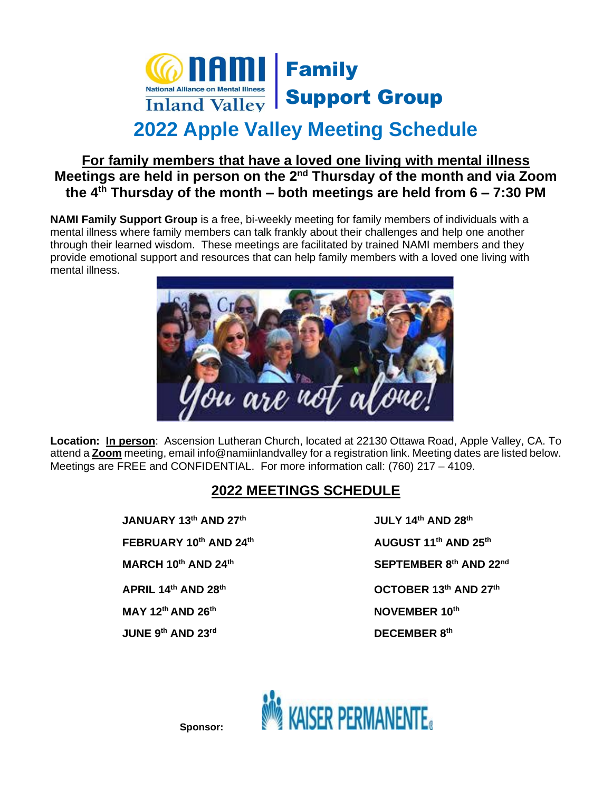

# **2022 Apple Valley Meeting Schedule**

#### **For family members that have a loved one living with mental illness Meetings are held in person on the 2nd Thursday of the month and via Zoom the 4 th Thursday of the month – both meetings are held from 6 – 7:30 PM**

**NAMI Family Support Group** is a free, bi-weekly meeting for family members of individuals with a mental illness where family members can talk frankly about their challenges and help one another through their learned wisdom. These meetings are facilitated by trained NAMI members and they provide emotional support and resources that can help family members with a loved one living with mental illness.



**Location: In person**:Ascension Lutheran Church, located at 22130 Ottawa Road, Apple Valley, CA. To attend a **Zoom** meeting, email info@namiinlandvalley for a registration link. Meeting dates are listed below. Meetings are FREE and CONFIDENTIAL. For more information call: (760) 217 – 4109.

### **2022 MEETINGS SCHEDULE**

**JANUARY 13th AND 27 FEBRUARY 10th AND 24 MARCH 10 th AND 24 APRIL 14th AND 28 MAY 12 th AND 26 JUNE 9th AND 23rd** 

**th JULY 14th AND 28 th th AUGUST 11 th AND 25 th th SEPTEMBER 8 th AND 22nd th OCTOBER 13th AND 27 th th NOVEMBER 10 th th AND 23rd DECEMBER 8 th**



**Sponsor:**